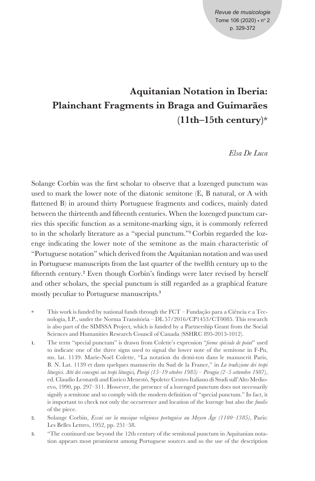# **Aquitanian Notation in Iberia: Plainchant Fragments in Braga and Guimarães (11th–15th century)\***

*Elsa De Luca*

Solange Corbin was the first scholar to observe that a lozenged punctum was used to mark the lower note of the diatonic semitone (E, B natural, or A with flattened B) in around thirty Portuguese fragments and codices, mainly dated between the thirteenth and fifteenth centuries. When the lozenged punctum carries this specific function as a semitone-marking sign, it is commonly referred to in the scholarly literature as a "special punctum."**<sup>1</sup>** Corbin regarded the lozenge indicating the lower note of the semitone as the main characteristic of "Portuguese notation" which derived from the Aquitanian notation and was used in Portuguese manuscripts from the last quarter of the twelfth century up to the fifteenth century.**<sup>2</sup>** Even though Corbin's findings were later revised by herself and other scholars, the special punctum is still regarded as a graphical feature mostly peculiar to Portuguese manuscripts.**<sup>3</sup>**

- **\*** This work is funded by national funds through the FCT Fundação para a Ciência e a Tecnologia, I.P., under the Norma Transitória – DL 57/2016/CP1453/CT0085. This research is also part of the SIMSSA Project, which is funded by a Partnership Grant from the Social Sciences and Humanities Research Council of Canada (SSHRC 895-2013-1012).
- **1.** The term "special punctum" is drawn from Colette's expression "*forme spéciale de point*" used to indicate one of the three signs used to signal the lower note of the semitone in F-Pn, ms. lat. 1139. Marie-Noël Colette, "La notation du demi-ton dans le manuscrit Paris, B. N. Lat. 1139 et dans quelques manuscrits du Sud de la France," in *La tradizione dei tropi liturgici. Atti dei convegni sui tropi liturgici, Parigi (15*–*19 ottobre 1985) – Perugia (2*–*5 settembre 1987)*, ed. Claudio Leonardi and Enrico Menestò, Spoleto: Centro Italiano di Studi sull'Alto Medioevo, 1990, pp. 297–311. However, the presence of a lozenged punctum does not necessarily signify a semitone and so comply with the modern definition of "special punctum." In fact, it is important to check not only the occurrence and location of the lozenge but also the *finalis* of the piece.
- **2.** Solange Corbin, *Essai sur la musique religieuse portugaise au Moyen Âge (1100*–*1385)*, Paris: Les Belles Lettres, 1952, pp. 251–58.
- **3.** "The continued use beyond the 12th century of the semitonal punctum in Aquitanian notation appears most prominent among Portuguese sources and so the use of the description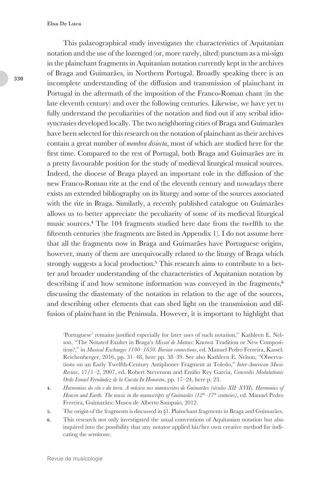This palaeographical study investigates the characteristics of Aquitanian notation and the use of the lozenged (or, more rarely, tilted) punctum as a mi-sign in the plainchant fragments in Aquitanian notation currently kept in the archives of Braga and Guimarães, in Northern Portugal. Broadly speaking there is an incomplete understanding of the diffusion and transmission of plainchant in Portugal in the aftermath of the imposition of the Franco-Roman chant (in the late eleventh century) and over the following centuries. Likewise, we have yet to fully understand the peculiarities of the notation and find out if any scribal idiosyncrasies developed locally. The two neighboring cities of Braga and Guimarães have been selected for this research on the notation of plainchant as their archives contain a great number of *membra disiecta*, most of which are studied here for the first time. Compared to the rest of Portugal, both Braga and Guimarães are in a pretty favourable position for the study of medieval liturgical musical sources. Indeed, the diocese of Braga played an important role in the diffusion of the new Franco-Roman rite at the end of the eleventh century and nowadays there exists an extended bibliography on its liturgy and some of the sources associated with the rite in Braga. Similarly, a recently published catalogue on Guimarães allows us to better appreciate the peculiarity of some of its medieval liturgical music sources.**<sup>4</sup>** The 104 fragments studied here date from the twelfth to the fifteenth centuries (the fragments are listed in Appendix 1). I do not assume here that all the fragments now in Braga and Guimarães have Portuguese origins, however, many of them are unequivocally related to the liturgy of Braga which strongly suggests a local production.**<sup>5</sup>** This research aims to contribute to a better and broader understanding of the characteristics of Aquitanian notation by describing if and how semitone information was conveyed in the fragments,**<sup>6</sup>** discussing the diastematy of the notation in relation to the age of the sources, and describing other elements that can shed light on the transmission and diffusion of plainchant in the Peninsula. However, it is important to highlight that

'Portuguese' remains justified especially for later uses of such notation," Kathleen E. Nelson, "The Notated Exultet in Braga's *Missal de Mateus*: Known Tradition or New Composition?," in *Musical Exchanges 1100*–*1650. Iberian connections*, ed. Manuel Pedro Ferreira, Kassel: Reichenberger, 2016, pp. 31–48, here pp. 38–39. See also Kathleen E. Nelson, "Observations on an Early Twelfth-Century Antiphoner Fragment at Toledo," *Inter-American Music Review*, 17/1–2, 2007, ed. Robert Stevenson and Emilio Rey Garcia, *Concordis Modulationis Ordo Ismael Fernández de la Cuesta In Honorem*, pp. 17–24, here p. 23.

- **4.** *Harmonias do céu e da terra. A música nos manuscritos de Guimarães (séculos XII‒XVII). Harmonies of Heaven and Earth. The music in the manuscripts of Guimarães (12th–17th centuries)*, ed. Manuel Pedro Ferreira, Guimarães: Museu de Alberto Sampaio, 2012.
- **5.** The origin of the fragments is discussed in §1. Plainchant fragments in Braga and Guimarães.
- **6.** This research not only investigated the usual conventions of Aquitanian notation but also inquired into the possibility that any notator applied his/her own creative method for indicating the semitone.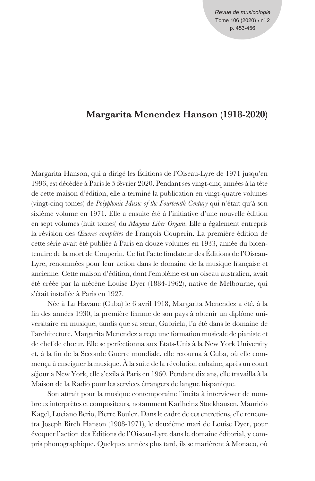*Revue de musicologie* Tome  $106(2020) \cdot n^{\circ} 2$ p. 453-456

## **Margarita Menendez Hanson (1918-2020)**

Margarita Hanson, qui a dirigé les Éditions de l'Oiseau-Lyre de 1971 jusqu'en 1996, est décédée à Paris le 5 février 2020. Pendant ses vingt-cinq années à la tête de cette maison d'édition, elle a terminé la publication en vingt-quatre volumes (vingt-cinq tomes) de *Polyphonic Music of the Fourteenth Century* qui n'était qu'à son sixième volume en 1971. Elle a ensuite été à l'initiative d'une nouvelle édition en sept volumes (huit tomes) du *Magnus Liber Organi*. Elle a également entrepris la révision des *Œuvres complètes* de François Couperin. La première édition de cette série avait été publiée à Paris en douze volumes en 1933, année du bicentenaire de la mort de Couperin. Ce fut l'acte fondateur des Éditions de l'Oiseau-Lyre, renommées pour leur action dans le domaine de la musique française et ancienne. Cette maison d'édition, dont l'emblème est un oiseau australien, avait été créée par la mécène Louise Dyer (1884-1962), native de Melbourne, qui s'était installée à Paris en 1927.

Née à La Havane (Cuba) le 6 avril 1918, Margarita Menendez a été, à la fin des années 1930, la première femme de son pays à obtenir un diplôme universitaire en musique, tandis que sa sœur, Gabriela, l'a été dans le domaine de l'architecture. Margarita Menendez a reçu une formation musicale de pianiste et de chef de chœur. Elle se perfectionna aux États-Unis à la New York University et, à la fin de la Seconde Guerre mondiale, elle retourna à Cuba, où elle commença à enseigner la musique. À la suite de la révolution cubaine, après un court séjour à New York, elle s'exila à Paris en 1960. Pendant dix ans, elle travailla à la Maison de la Radio pour les services étrangers de langue hispanique.

Son attrait pour la musique contemporaine l'incita à interviewer de nombreux interprètes et compositeurs, notamment Karlheinz Stockhausen, Mauricio Kagel, Luciano Berio, Pierre Boulez. Dans le cadre de ces entretiens, elle rencontra Joseph Birch Hanson (1908-1971), le deuxième mari de Louise Dyer, pour évoquer l'action des Éditions de l'Oiseau-Lyre dans le domaine éditorial, y compris phonographique. Quelques années plus tard, ils se marièrent à Monaco, où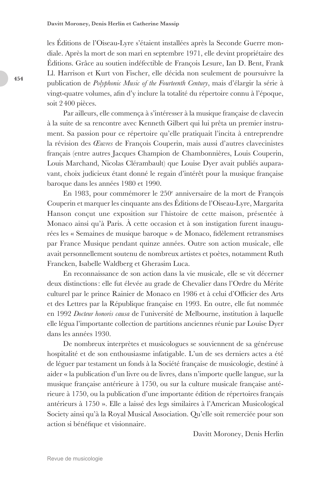les Éditions de l'Oiseau-Lyre s'étaient installées après la Seconde Guerre mondiale. Après la mort de son mari en septembre 1971, elle devint propriétaire des Éditions. Grâce au soutien indéfectible de François Lesure, Ian D. Bent, Frank Ll. Harrison et Kurt von Fischer, elle décida non seulement de poursuivre la publication de *Polyphonic Music of the Fourteenth Century*, mais d'élargir la série à vingt-quatre volumes, afin d'y inclure la totalité du répertoire connu à l'époque, soit 2400 pièces.

Par ailleurs, elle commença à s'intéresser à la musique française de clavecin à la suite de sa rencontre avec Kenneth Gilbert qui lui prêta un premier instrument. Sa passion pour ce répertoire qu'elle pratiquait l'incita à entreprendre la révision des *Œuvres* de François Couperin, mais aussi d'autres clavecinistes français (entre autres Jacques Champion de Chambonnières, Louis Couperin, Louis Marchand, Nicolas Clérambault) que Louise Dyer avait publiés auparavant, choix judicieux étant donné le regain d'intérêt pour la musique française baroque dans les années 1980 et 1990.

En 1983, pour commémorer le 250<sup>e</sup> anniversaire de la mort de François Couperin et marquer les cinquante ans des Éditions de l'Oiseau-Lyre, Margarita Hanson conçut une exposition sur l'histoire de cette maison, présentée à Monaco ainsi qu'à Paris. À cette occasion et à son instigation furent inaugurées les « Semaines de musique baroque » de Monaco, fidèlement retransmises par France Musique pendant quinze années. Outre son action musicale, elle avait personnellement soutenu de nombreux artistes et poètes, notamment Ruth Francken, Isabelle Waldberg et Gherasim Luca.

En reconnaissance de son action dans la vie musicale, elle se vit décerner deux distinctions: elle fut élevée au grade de Chevalier dans l'Ordre du Mérite culturel par le prince Rainier de Monaco en 1986 et à celui d'Officier des Arts et des Lettres par la République française en 1993. En outre, elle fut nommée en 1992 *Docteur honoris causa* de l'université de Melbourne, institution à laquelle elle légua l'importante collection de partitions anciennes réunie par Louise Dyer dans les années 1930.

De nombreux interprètes et musicologues se souviennent de sa généreuse hospitalité et de son enthousiasme infatigable. L'un de ses derniers actes a été de léguer par testament un fonds à la Société française de musicologie, destiné à aider « la publication d'un livre ou de livres, dans n'importe quelle langue, sur la musique française antérieure à 1750, ou sur la culture musicale française antérieure à 1750, ou la publication d'une importante édition de répertoires français antérieurs à 1750 ». Elle a laissé des legs similaires à l'American Musicological Society ainsi qu'à la Royal Musical Association. Qu'elle soit remerciée pour son action si bénéfique et visionnaire.

Davitt Moroney, Denis Herlin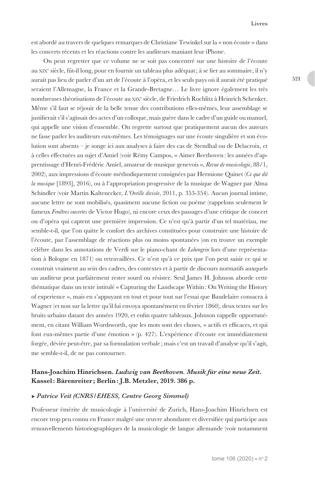est abordé au travers de quelques remarques de Christiane Tewinkel sur la « non écoute » dans les concerts récents et les réactions contre les auditeurs maniant leur iPhone.

On peut regretter que ce volume ne se soit pas concentré sur une histoire de l'écoute au xix<sup>e</sup> siècle, fût-il long, pour en fournir un tableau plus adéquat; à se fier au sommaire, il n'y aurait pas lieu de parler d'un art de l'écoute à l'opéra, et les seuls pays où il aurait été pratiqué seraient l'Allemagne, la France et la Grande-Bretagne… Le livre ignore également les très nombreuses théorisations de l'écoute au xixe siècle, de Friedrich Rochlitz à Heinrich Schenker. Même s'il faut se réjouir de la belle tenue des contributions elles-mêmes, leur assemblage se justifierait s'il s'agissait des actes d'un colloque, mais guère dans le cadre d'un guide ou manuel, qui appelle une vision d'ensemble. On regrette surtout que pratiquement aucun des auteurs ne fasse parler les auditeurs eux-mêmes. Les témoignages sur une écoute singulière et son évolution sont absents – je songe ici aux analyses à faire des cas de Stendhal ou de Delacroix, et à celles effectuées au sujet d'Amiel (voir Rémy Campos, « Aimer Beethoven: les années d'apprentissage d'Henri-Frédéric Amiel, amateur de musique genevois », *Revue de musicologie*, 88/1, 2002), aux impressions d'écoute méthodiquement consignées par Hermione Quinet (*Ce que dit la musique* [1893], 2016), ou à l'appropriation progressive de la musique de Wagner par Alma Schindler (voir Martin Kaltenecker, *L'Oreille divisée*, 2011, p. 353-354). Aucun journal intime, aucune lettre ne sont mobilisés, quasiment aucune fiction ou poème (rappelons seulement le fameux *Fenêtres ouvertes* de Victor Hugo), ni encore ceux des passages d'une critique de concert ou d'opéra qui captent une première impression. Ce n'est qu'à partir d'un tel matériau, me semble-t-il, que l'on quitte le confort des archives constituées pour construire une histoire de l'écoute, par l'assemblage de réactions plus ou moins spontanées (on en trouve un exemple célèbre dans les annotations de Verdi sur le piano-chant de *Lohengrin* lors d'une représentation à Bologne en 1871) ou retravaillées. Ce n'est qu'à ce prix que l'on peut saisir ce qui se construit vraiment au sein des cadres, des contextes et à partir de discours normatifs auxquels un auditeur peut parfaitement rester sourd ou résister. Seul James H. Johnson aborde cette thématique dans un texte intitulé « Capturing the Landscape Within: On Writing the History of experience », mais en s'appuyant en tout et pour tout sur l'essai que Baudelaire consacra à Wagner (et non sur la lettre qu'il lui envoya spontanément en février 1860), deux textes sur les bruits urbains datant des années 1920, et enfin quatre tableaux. Johnson rappelle opportunément, en citant William Wordsworth, que les mots sont des choses, « actifs et efficaces, et qui font eux-mêmes partie d'une émotion » (p. 427). L'expérience d'écoute est immédiatement forgée, déviée peut-être, par sa formulation verbale ; mais c'est un travail d'analyse qu'il s'agit, me semble-t-il, de ne pas contourner.

## **Hans-Joachim Hinrichsen.** *Ludwig van Beethoven. Musik für eine neue Zeit***. Kassel: Bärenreiter ; Berlin: J.B. Metzler, 2019. 386 p.**

#### ► *Patrice Veit (CNRS/EHESS, Centre Georg Simmel)*

Professeur émérite de musicologie à l'université de Zurich, Hans-Joachim Hinrichsen est encore trop peu connu en France malgré une œuvre abondante et diversifiée qui participe aux renouvellements historiographiques de la musicologie de langue allemande (voir notamment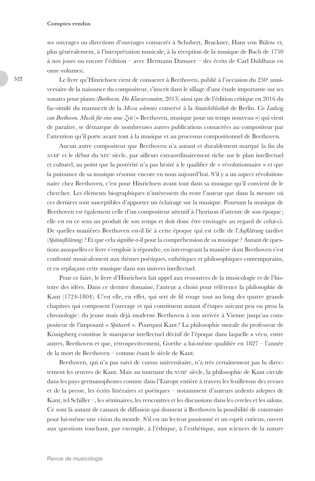#### **Comptes rendus**

ses ouvrages ou directions d'ouvrages consacrés à Schubert, Bruckner, Hans von Bülow et, plus généralement, à l'interprétation musicale, à la réception de la musique de Bach de 1750 à nos jours ou encore l'édition – avec Hermann Danuser – des écrits de Carl Dahlhaus en onze volumes).

Le livre qu'Hinrichsen vient de consacrer à Beethoven, publié à l'occasion du 250<sup>e</sup> anniversaire de la naissance du compositeur, s'inscrit dans le sillage d'une étude importante sur ses sonates pour piano (*Beethoven. Die Klaviersonaten*, 2013) ainsi que de l'édition critique en 2016 du fac-similé du manuscrit de la *Missa solemnis* conservé à la *Staatsbibliothek* de Berlin. Ce *Ludwig van Beethoven. Musik für eine neue Zeit* (« Beethoven, musique pour un temps nouveau ») qui vient de paraître, se démarque de nombreuses autres publications consacrées au compositeur par l'attention qu'il porte avant tout à la musique et au processus compositionnel de Beethoven.

Aucun autre compositeur que Beethoven n'a autant et durablement marqué la fin du xviii<sup>e</sup> et le début du xix<sup>e</sup> siècle, par ailleurs extraordinairement riche sur le plan intellectuel et culturel, au point que la postérité n'a pas hésité à le qualifier de « révolutionnaire » et que la puissance de sa musique résonne encore en nous aujourd'hui. S'il y a un aspect révolutionnaire chez Beethoven, c'est pour Hinrichsen avant tout dans sa musique qu'il convient de le chercher. Les éléments biographiques n'intéressent du reste l'auteur que dans la mesure où ces derniers sont susceptibles d'apporter un éclairage sur la musique. Pourtant la musique de Beethoven est également celle d'un compositeur attentif à l'horizon d'attente de son époque ; elle est en ce sens un produit de son temps et doit donc être envisagée au regard de celui-ci. De quelles manières Beethoven est-il lié à cette époque qui est celle de l'*Aufklärung* tardive (*Spätaufklärung*)? Et que cela signifie-t-il pour la compréhension de sa musique ? Autant de questions auxquelles ce livre s'emploie à répondre, en interrogeant la manière dont Beethoven s'est confronté musicalement aux thèmes poétiques, esthétiques et philosophiques contemporains, et en replaçant cette musique dans son univers intellectuel.

Pour ce faire, le livre d'Hinrichsen fait appel aux ressources de la musicologie et de l'histoire des idées. Dans ce dernier domaine, l'auteur a choisi pour référence la philosophie de Kant (1724-1804). C'est elle, en effet, qui sert de fil rouge tout au long des quatre grands chapitres qui composent l'ouvrage et qui constituent autant d'étapes suivant peu ou prou la chronologie : du jeune mais déjà moderne Beethoven à son arrivée à Vienne jusqu'au compositeur de l'imposant « *Spätwerk* ». Pourquoi Kant? La philosophie morale du professeur de Königsberg constitue le marqueur intellectuel décisif de l'époque dans laquelle a vécu, entre autres, Beethoven et que, rétrospectivement, Goethe a lui-même qualifiée en 1827 – l'année de la mort de Beethoven – comme étant le siècle de Kant.

Beethoven, qui n'a pas suivi de cursus universitaire, n'a très certainement pas lu directement les œuvres de Kant. Mais au tournant du xvIII<sup>e</sup> siècle, la philosophie de Kant circule dans les pays germanophones comme dans l'Europe entière à travers les feuilletons des revues et de la presse, les écrits littéraires et poétiques – notamment d'auteurs ardents adeptes de Kant, tel Schiller –, les séminaires, les rencontres et les discussions dans les cercles et les salons. Ce sont là autant de canaux de diffusion qui donnent à Beethoven la possibilité de construire pour lui-même une vision du monde. S'il est un lecteur passionné et un esprit curieux, ouvert aux questions touchant, par exemple, à l'éthique, à l'esthétique, aux sciences de la nature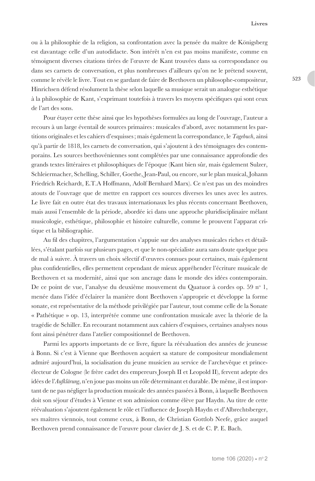ou à la philosophie de la religion, sa confrontation avec la pensée du maître de Königsberg est davantage celle d'un autodidacte. Son intérêt n'en est pas moins manifeste, comme en témoignent diverses citations tirées de l'œuvre de Kant trouvées dans sa correspondance ou dans ses carnets de conversation, et plus nombreuses d'ailleurs qu'on ne le prétend souvent, comme le révèle le livre. Tout en se gardant de faire de Beethoven un philosophe-compositeur, Hinrichsen défend résolument la thèse selon laquelle sa musique serait un analogue esthétique à la philosophie de Kant, s'exprimant toutefois à travers les moyens spécifiques qui sont ceux de l'art des sons.

Pour étayer cette thèse ainsi que les hypothèses formulées au long de l'ouvrage, l'auteur a recours à un large éventail de sources primaires: musicales d'abord, avec notamment les partitions originales et les cahiers d'esquisses; mais également la correspondance, le *Tagebuch*, ainsi qu'à partir de 1818, les carnets de conversation, qui s'ajoutent à des témoignages des contemporains. Les sources beethovéniennes sont complétées par une connaissance approfondie des grands textes littéraires et philosophiques de l'époque (Kant bien sûr, mais également Sulzer, Schleiermacher, Schelling, Schiller, Goethe, Jean-Paul, ou encore, sur le plan musical, Johann Friedrich Reichardt, E.T.A Hoffmann, Adolf Bernhard Marx). Ce n'est pas un des moindres atouts de l'ouvrage que de mettre en rapport ces sources diverses les unes avec les autres. Le livre fait en outre état des travaux internationaux les plus récents concernant Beethoven, mais aussi l'ensemble de la période, abordée ici dans une approche pluridisciplinaire mêlant musicologie, esthétique, philosophie et histoire culturelle, comme le prouvent l'apparat critique et la bibliographie.

Au fil des chapitres, l'argumentation s'appuie sur des analyses musicales riches et détaillées, s'étalant parfois sur plusieurs pages, et que le non-spécialiste aura sans doute quelque peu de mal à suivre. À travers un choix sélectif d'œuvres connues pour certaines, mais également plus confidentielles, elles permettent cependant de mieux appréhender l'écriture musicale de Beethoven et sa modernité, ainsi que son ancrage dans le monde des idées contemporain. De ce point de vue, l'analyse du deuxième mouvement du Quatuor à cordes op. 59 n° 1, menée dans l'idée d'éclairer la manière dont Beethoven s'approprie et développe la forme sonate, est représentative de la méthode privilégiée par l'auteur, tout comme celle de la Sonate « Pathétique » op. 13, interprétée comme une confrontation musicale avec la théorie de la tragédie de Schiller. En recourant notamment aux cahiers d'esquisses, certaines analyses nous font ainsi pénétrer dans l'atelier compositionnel de Beethoven.

Parmi les apports importants de ce livre, figure la réévaluation des années de jeunesse à Bonn. Si c'est à Vienne que Beethoven acquiert sa stature de compositeur mondialement admiré aujourd'hui, la socialisation du jeune musicien au service de l'archevêque et princeélecteur de Cologne (le frère cadet des empereurs Joseph II et Leopold II), fervent adepte des idées de l'*Aufklärung*, n'en joue pas moins un rôle déterminant et durable. De même, il est important de ne pas négliger la production musicale des années passées à Bonn, à laquelle Beethoven doit son séjour d'études à Vienne et son admission comme élève par Haydn. Au titre de cette réévaluation s'ajoutent également le rôle et l'influence de Joseph Haydn et d'Albrechtsberger, ses maîtres viennois, tout comme ceux, à Bonn, de Christian Gottlob Neefe, grâce auquel Beethoven prend connaissance de l'œuvre pour clavier de J. S. et de C. P. E. Bach.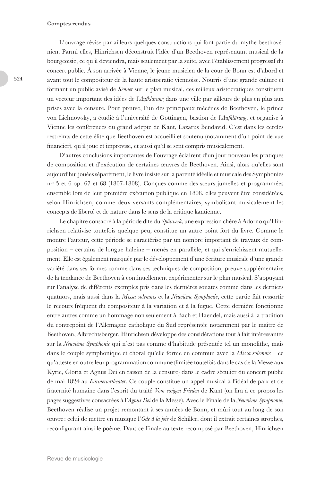#### **Comptes rendus**

L'ouvrage révise par ailleurs quelques constructions qui font partie du mythe beethovénien. Parmi elles, Hinrichsen déconstruit l'idée d'un Beethoven représentant musical de la bourgeoisie, ce qu'il deviendra, mais seulement par la suite, avec l'établissement progressif du concert public. À son arrivée à Vienne, le jeune musicien de la cour de Bonn est d'abord et avant tout le compositeur de la haute aristocratie viennoise. Nourris d'une grande culture et formant un public avisé de *Kenner* sur le plan musical, ces milieux aristocratiques constituent un vecteur important des idées de l'*Aufklärung* dans une ville par ailleurs de plus en plus aux prises avec la censure*.* Pour preuve, l'un des principaux mécènes de Beethoven, le prince von Lichnowsky, a étudié à l'université de Göttingen, bastion de l'*Aufklärung*, et organise à Vienne les conférences du grand adepte de Kant, Lazarus Bendavid. C'est dans les cercles restreints de cette élite que Beethoven est accueilli et soutenu (notamment d'un point de vue financier), qu'il joue et improvise, et aussi qu'il se sent compris musicalement.

D'autres conclusions importantes de l'ouvrage éclairent d'un jour nouveau les pratiques de composition et d'exécution de certaines œuvres de Beethoven. Ainsi, alors qu'elles sont aujourd'hui jouées séparément, le livre insiste sur la parenté idéelle et musicale des Symphonies  $n^{\circ}$  5 et 6 op. 67 et 68 (1807-1808). Conçues comme des sœurs jumelles et programmées ensemble lors de leur première exécution publique en 1808, elles peuvent être considérées, selon Hinrichsen, comme deux versants complémentaires, symbolisant musicalement les concepts de liberté et de nature dans le sens de la critique kantienne.

Le chapitre consacré à la période dite du *Spätwerk*, une expression chère à Adorno qu'Hinrichsen relativise toutefois quelque peu, constitue un autre point fort du livre. Comme le montre l'auteur, cette période se caractérise par un nombre important de travaux de composition – certains de longue haleine – menés en parallèle, et qui s'enrichissent mutuellement. Elle est également marquée par le développement d'une écriture musicale d'une grande variété dans ses formes comme dans ses techniques de composition, preuve supplémentaire de la tendance de Beethoven à continuellement expérimenter sur le plan musical. S'appuyant sur l'analyse de différents exemples pris dans les dernières sonates comme dans les derniers quatuors, mais aussi dans la *Missa solemnis* et la *Neuvième Symphonie*, cette partie fait ressortir le recours fréquent du compositeur à la variation et à la fugue. Cette dernière fonctionne entre autres comme un hommage non seulement à Bach et Haendel, mais aussi à la tradition du contrepoint de l'Allemagne catholique du Sud représentée notamment par le maître de Beethoven, Albrechtsberger. Hinrichsen développe des considérations tout à fait intéressantes sur la *Neuvième Symphonie* qui n'est pas comme d'habitude présentée tel un monolithe, mais dans le couple symphonique et choral qu'elle forme en commun avec la *Missa solemnis* – ce qu'atteste en outre leur programmation commune (limitée toutefois dans le cas de la Messe aux Kyrie, Gloria et Agnus Dei en raison de la censure) dans le cadre séculier du concert public de mai 1824 au *Kärtnertortheater*. Ce couple constitue un appel musical à l'idéal de paix et de fraternité humaine dans l'esprit du traité *Vom ewigen Frieden* de Kant (on lira à ce propos les pages suggestives consacrées à l'*Agnus Dei* de la Messe). Avec le Finale de la *Neuvième Symphonie*, Beethoven réalise un projet remontant à ses années de Bonn, et mûri tout au long de son œuvre : celui de mettre en musique l'*Ode à la joie* de Schiller, dont il extrait certaines strophes, reconfigurant ainsi le poème. Dans ce Finale au texte recomposé par Beethoven, Hinrichsen